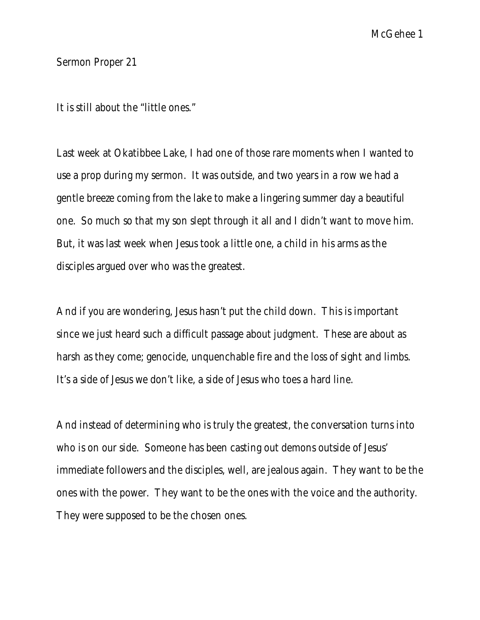Sermon Proper 21

It is still about the "little ones."

Last week at Okatibbee Lake, I had one of those rare moments when I wanted to use a prop during my sermon. It was outside, and two years in a row we had a gentle breeze coming from the lake to make a lingering summer day a beautiful one. So much so that my son slept through it all and I didn't want to move him. But, it was last week when Jesus took a little one, a child in his arms as the disciples argued over who was the greatest.

And if you are wondering, Jesus hasn't put the child down. This is important since we just heard such a difficult passage about judgment. These are about as harsh as they come; genocide, unquenchable fire and the loss of sight and limbs. It's a side of Jesus we don't like, a side of Jesus who toes a hard line.

And instead of determining who is truly the greatest, the conversation turns into who is on our side. Someone has been casting out demons outside of Jesus' immediate followers and the disciples, well, are jealous again. They want to be the ones with the power. They want to be the ones with the voice and the authority. They were supposed to be the chosen ones.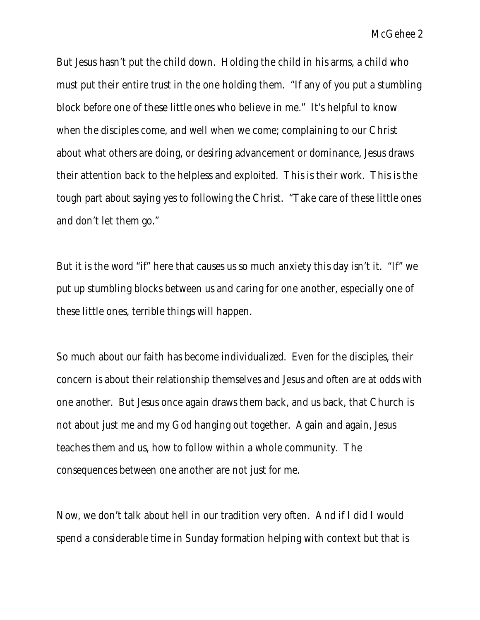McGehee 2

But Jesus hasn't put the child down. Holding the child in his arms, a child who must put their entire trust in the one holding them. "If any of you put a stumbling block before one of these little ones who believe in me." It's helpful to know when the disciples come, and well when we come; complaining to our Christ about what others are doing, or desiring advancement or dominance, Jesus draws their attention back to the helpless and exploited. This is their work. This is the tough part about saying yes to following the Christ. "Take care of these little ones and don't let them go."

But it is the word "if" here that causes us so much anxiety this day isn't it. "If" we put up stumbling blocks between us and caring for one another, especially one of these little ones, terrible things will happen.

So much about our faith has become individualized. Even for the disciples, their concern is about their relationship themselves and Jesus and often are at odds with one another. But Jesus once again draws them back, and us back, that Church is not about just me and my God hanging out together. Again and again, Jesus teaches them and us, how to follow within a whole community. The consequences between one another are not just for me.

Now, we don't talk about hell in our tradition very often. And if I did I would spend a considerable time in Sunday formation helping with context but that is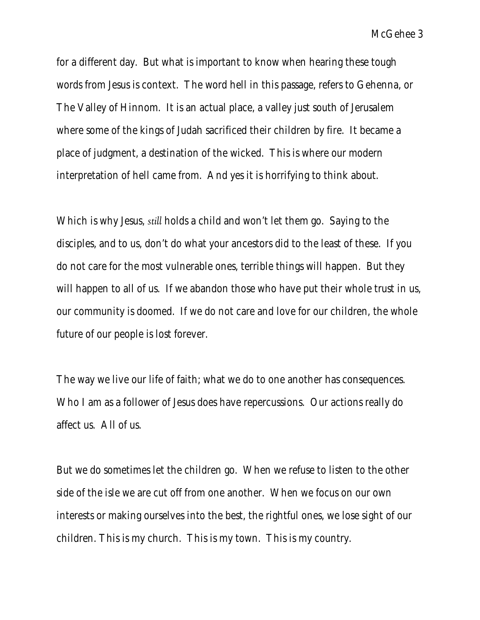McGehee 3

for a different day. But what is important to know when hearing these tough words from Jesus is context. The word hell in this passage, refers to Gehenna, or The Valley of Hinnom. It is an actual place, a valley just south of Jerusalem where some of the kings of Judah sacrificed their children by fire. It became a place of judgment, a destination of the wicked. This is where our modern interpretation of hell came from. And yes it is horrifying to think about.

Which is why Jesus, *still* holds a child and won't let them go. Saying to the disciples, and to us, don't do what your ancestors did to the least of these. If you do not care for the most vulnerable ones, terrible things will happen. But they will happen to all of us. If we abandon those who have put their whole trust in us, our community is doomed. If we do not care and love for our children, the whole future of our people is lost forever.

The way we live our life of faith; what we do to one another has consequences. Who I am as a follower of Jesus does have repercussions. Our actions really do affect us. All of us.

But we do sometimes let the children go. When we refuse to listen to the other side of the isle we are cut off from one another. When we focus on our own interests or making ourselves into the best, the rightful ones, we lose sight of our children. This is my church. This is my town. This is my country.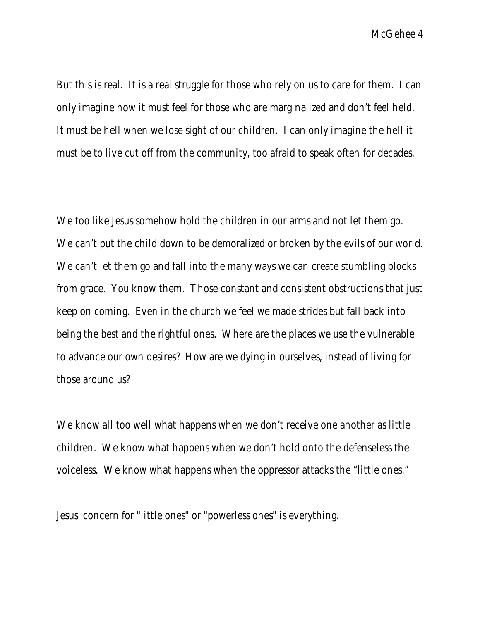McGehee 4

But this is real. It is a real struggle for those who rely on us to care for them. I can only imagine how it must feel for those who are marginalized and don't feel held. It must be hell when we lose sight of our children. I can only imagine the hell it must be to live cut off from the community, too afraid to speak often for decades.

We too like Jesus somehow hold the children in our arms and not let them go. We can't put the child down to be demoralized or broken by the evils of our world. We can't let them go and fall into the many ways we can create stumbling blocks from grace. You know them. Those constant and consistent obstructions that just keep on coming. Even in the church we feel we made strides but fall back into being the best and the rightful ones. Where are the places we use the vulnerable to advance our own desires? How are we dying in ourselves, instead of living for those around us?

We know all too well what happens when we don't receive one another as little children. We know what happens when we don't hold onto the defenseless the voiceless. We know what happens when the oppressor attacks the "little ones."

Jesus' concern for "little ones" or "powerless ones" is everything.